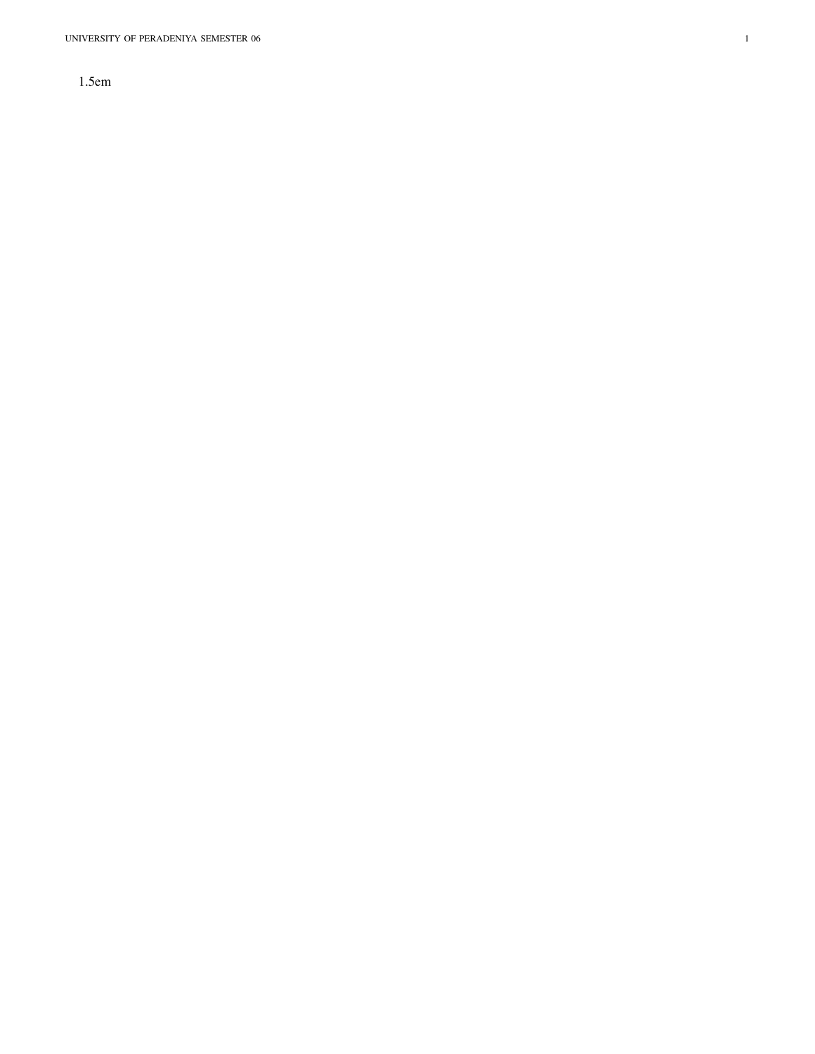UNIVERSITY OF PERADENIYA SEMESTER 06

 $\,1$ 

 $1.5em$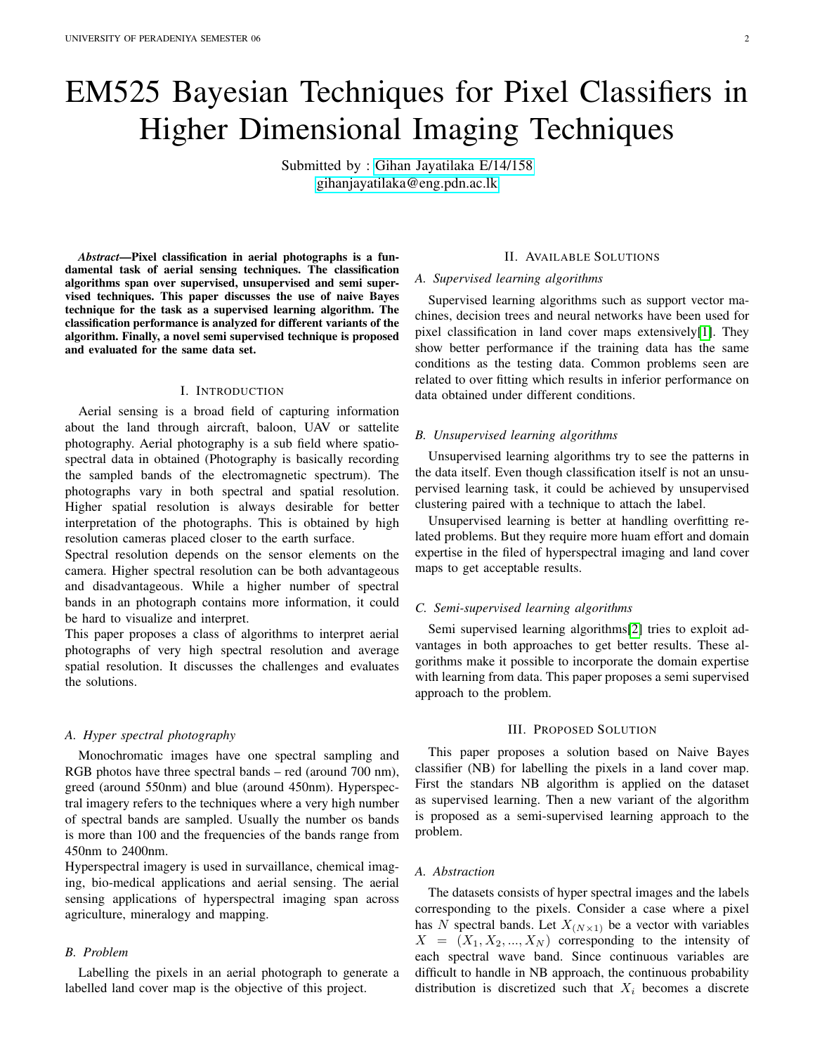# EM525 Bayesian Techniques for Pixel Classifiers in Higher Dimensional Imaging Techniques

Submitted by : [Gihan Jayatilaka E/14/158](https://gihan.me) [gihanjayatilaka@eng.pdn.ac.lk](mailto:gihanjayatilaka@eng.pdn.ac.lk)

*Abstract*—Pixel classification in aerial photographs is a fundamental task of aerial sensing techniques. The classification algorithms span over supervised, unsupervised and semi supervised techniques. This paper discusses the use of naive Bayes technique for the task as a supervised learning algorithm. The classification performance is analyzed for different variants of the algorithm. Finally, a novel semi supervised technique is proposed and evaluated for the same data set.

## I. INTRODUCTION

Aerial sensing is a broad field of capturing information about the land through aircraft, baloon, UAV or sattelite photography. Aerial photography is a sub field where spatiospectral data in obtained (Photography is basically recording the sampled bands of the electromagnetic spectrum). The photographs vary in both spectral and spatial resolution. Higher spatial resolution is always desirable for better interpretation of the photographs. This is obtained by high resolution cameras placed closer to the earth surface.

Spectral resolution depends on the sensor elements on the camera. Higher spectral resolution can be both advantageous and disadvantageous. While a higher number of spectral bands in an photograph contains more information, it could be hard to visualize and interpret.

This paper proposes a class of algorithms to interpret aerial photographs of very high spectral resolution and average spatial resolution. It discusses the challenges and evaluates the solutions.

#### *A. Hyper spectral photography*

Monochromatic images have one spectral sampling and RGB photos have three spectral bands – red (around 700 nm), greed (around 550nm) and blue (around 450nm). Hyperspectral imagery refers to the techniques where a very high number of spectral bands are sampled. Usually the number os bands is more than 100 and the frequencies of the bands range from 450nm to 2400nm.

Hyperspectral imagery is used in survaillance, chemical imaging, bio-medical applications and aerial sensing. The aerial sensing applications of hyperspectral imaging span across agriculture, mineralogy and mapping.

## *B. Problem*

Labelling the pixels in an aerial photograph to generate a labelled land cover map is the objective of this project.

## II. AVAILABLE SOLUTIONS

## *A. Supervised learning algorithms*

Supervised learning algorithms such as support vector machines, decision trees and neural networks have been used for pixel classification in land cover maps extensively[\[1\]](#page-4-0). They show better performance if the training data has the same conditions as the testing data. Common problems seen are related to over fitting which results in inferior performance on data obtained under different conditions.

## *B. Unsupervised learning algorithms*

Unsupervised learning algorithms try to see the patterns in the data itself. Even though classification itself is not an unsupervised learning task, it could be achieved by unsupervised clustering paired with a technique to attach the label.

Unsupervised learning is better at handling overfitting related problems. But they require more huam effort and domain expertise in the filed of hyperspectral imaging and land cover maps to get acceptable results.

## *C. Semi-supervised learning algorithms*

Semi supervised learning algorithms[\[2\]](#page-4-1) tries to exploit advantages in both approaches to get better results. These algorithms make it possible to incorporate the domain expertise with learning from data. This paper proposes a semi supervised approach to the problem.

## III. PROPOSED SOLUTION

This paper proposes a solution based on Naive Bayes classifier (NB) for labelling the pixels in a land cover map. First the standars NB algorithm is applied on the dataset as supervised learning. Then a new variant of the algorithm is proposed as a semi-supervised learning approach to the problem.

## *A. Abstraction*

The datasets consists of hyper spectral images and the labels corresponding to the pixels. Consider a case where a pixel has N spectral bands. Let  $X_{(N\times1)}$  be a vector with variables  $X = (X_1, X_2, ..., X_N)$  corresponding to the intensity of each spectral wave band. Since continuous variables are difficult to handle in NB approach, the continuous probability distribution is discretized such that  $X_i$  becomes a discrete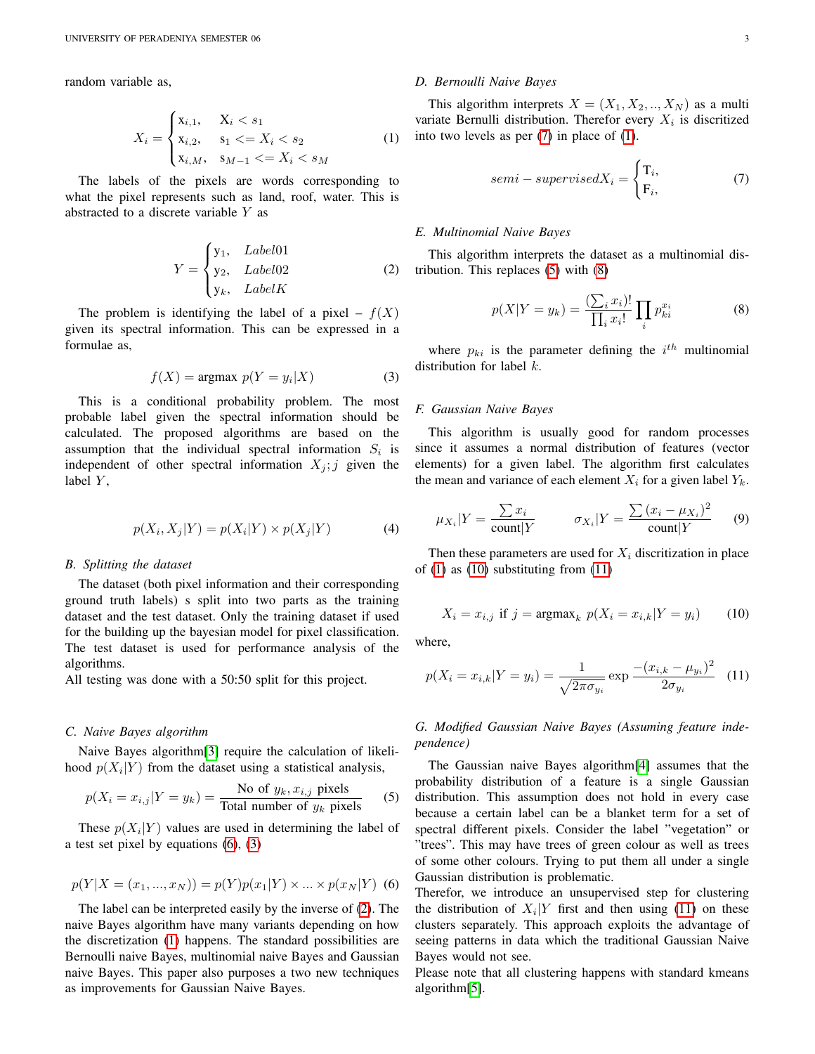random variable as,

$$
X_{i} = \begin{cases} \n x_{i,1}, & X_{i} < s_{1} \\ \n x_{i,2}, & s_{1} < = X_{i} < s_{2} \\ \n x_{i,M}, & s_{M-1} < = X_{i} < s_{M} \n\end{cases} \tag{1}
$$

The labels of the pixels are words corresponding to what the pixel represents such as land, roof, water. This is abstracted to a discrete variable  $Y$  as

$$
Y = \begin{cases} \n y_1, & \text{Label01} \\ \n y_2, & \text{Label02} \\ \n y_k, & \text{LabelK} \n\end{cases} \tag{2}
$$

The problem is identifying the label of a pixel –  $f(X)$ given its spectral information. This can be expressed in a formulae as,

<span id="page-2-1"></span>
$$
f(X) = \text{argmax } p(Y = y_i | X)
$$
 (3)

This is a conditional probability problem. The most probable label given the spectral information should be calculated. The proposed algorithms are based on the assumption that the individual spectral information  $S_i$  is independent of other spectral information  $X_j$ ; j given the label  $Y$ ,

$$
p(X_i, X_j | Y) = p(X_i | Y) \times p(X_j | Y)
$$
\n<sup>(4)</sup>

#### *B. Splitting the dataset*

The dataset (both pixel information and their corresponding ground truth labels) s split into two parts as the training dataset and the test dataset. Only the training dataset if used for the building up the bayesian model for pixel classification. The test dataset is used for performance analysis of the algorithms.

All testing was done with a 50:50 split for this project.

## *C. Naive Bayes algorithm*

Naive Bayes algorithm[\[3\]](#page-4-2) require the calculation of likelihood  $p(X_i|Y)$  from the dataset using a statistical analysis,

<span id="page-2-5"></span>
$$
p(X_i = x_{i,j}|Y = y_k) = \frac{\text{No of } y_k, x_{i,j} \text{ pixels}}{\text{Total number of } y_k \text{ pixels}}
$$
(5)

These  $p(X_i|Y)$  values are used in determining the label of a test set pixel by equations [\(6\)](#page-2-0), [\(3\)](#page-2-1)

<span id="page-2-0"></span>
$$
p(Y|X = (x_1, ..., x_N)) = p(Y)p(x_1|Y) \times ... \times p(x_N|Y)
$$
 (6)

The label can be interpreted easily by the inverse of [\(2\)](#page-2-2). The naive Bayes algorithm have many variants depending on how the discretization [\(1\)](#page-2-3) happens. The standard possibilities are Bernoulli naive Bayes, multinomial naive Bayes and Gaussian naive Bayes. This paper also purposes a two new techniques as improvements for Gaussian Naive Bayes.

## *D. Bernoulli Naive Bayes*

<span id="page-2-3"></span>This algorithm interprets  $X = (X_1, X_2, ..., X_N)$  as a multi variate Bernulli distribution. Therefor every  $X_i$  is discritized into two levels as per [\(7\)](#page-2-4) in place of [\(1\)](#page-2-3).

<span id="page-2-4"></span>
$$
semi-supervisedX_i = \begin{cases} T_i, \\ F_i, \end{cases} \tag{7}
$$

## *E. Multinomial Naive Bayes*

<span id="page-2-2"></span>This algorithm interprets the dataset as a multinomial distribution. This replaces [\(5\)](#page-2-5) with [\(8\)](#page-2-6)

<span id="page-2-6"></span>
$$
p(X|Y = y_k) = \frac{\sum_i x_i!}{\prod_i x_i!} \prod_i p_{ki}^{x_i}
$$
 (8)

where  $p_{ki}$  is the parameter defining the  $i^{th}$  multinomial distribution for label  $k$ .

## *F. Gaussian Naive Bayes*

This algorithm is usually good for random processes since it assumes a normal distribution of features (vector elements) for a given label. The algorithm first calculates the mean and variance of each element  $X_i$  for a given label  $Y_k$ .

$$
\mu_{X_i}|Y = \frac{\sum x_i}{\text{count}|Y} \qquad \sigma_{X_i}|Y = \frac{\sum (x_i - \mu_{X_i})^2}{\text{count}|Y} \qquad (9)
$$

Then these parameters are used for  $X_i$  discritization in place of  $(1)$  as  $(10)$  substituting from  $(11)$ 

<span id="page-2-7"></span>
$$
X_i = x_{i,j}
$$
 if  $j = \text{argmax}_k \ p(X_i = x_{i,k} | Y = y_i)$  (10)

where,

<span id="page-2-8"></span>
$$
p(X_i = x_{i,k}|Y = y_i) = \frac{1}{\sqrt{2\pi\sigma_{y_i}}} \exp \frac{-(x_{i,k} - \mu_{y_i})^2}{2\sigma_{y_i}} \quad (11)
$$

*G. Modified Gaussian Naive Bayes (Assuming feature independence)*

The Gaussian naive Bayes algorithm[\[4\]](#page-4-3) assumes that the probability distribution of a feature is a single Gaussian distribution. This assumption does not hold in every case because a certain label can be a blanket term for a set of spectral different pixels. Consider the label "vegetation" or "trees". This may have trees of green colour as well as trees of some other colours. Trying to put them all under a single Gaussian distribution is problematic.

Therefor, we introduce an unsupervised step for clustering the distribution of  $X_i|Y$  first and then using [\(11\)](#page-2-8) on these clusters separately. This approach exploits the advantage of seeing patterns in data which the traditional Gaussian Naive Bayes would not see.

Please note that all clustering happens with standard kmeans algorithm[\[5\]](#page-4-4).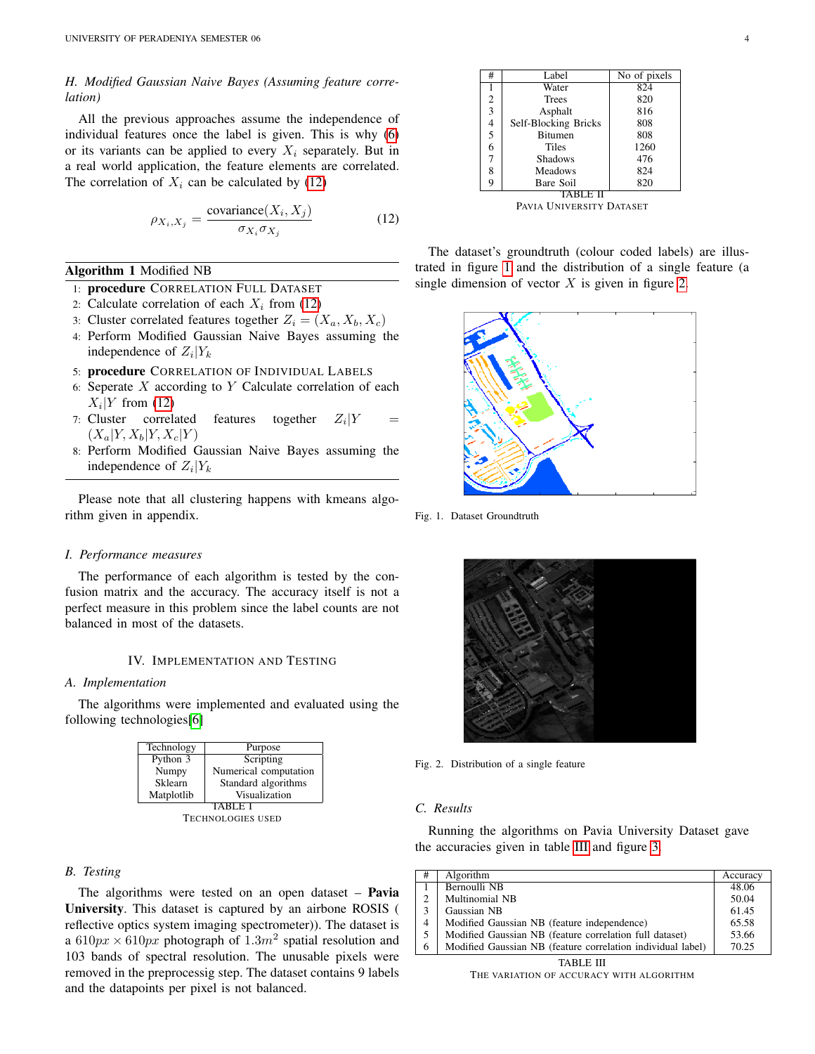# *H. Modified Gaussian Naive Bayes (Assuming feature correlation)*

All the previous approaches assume the independence of individual features once the label is given. This is why [\(6\)](#page-2-0) or its variants can be applied to every  $X_i$  separately. But in a real world application, the feature elements are correlated. The correlation of  $X_i$  can be calculated by [\(12\)](#page-3-0)

<span id="page-3-0"></span>
$$
\rho_{X_i, X_j} = \frac{\text{covariance}(X_i, X_j)}{\sigma_{X_i} \sigma_{X_j}}
$$
(12)

## Algorithm 1 Modified NB

- 1: procedure CORRELATION FULL DATASET
- 2: Calculate correlation of each  $X_i$  from [\(12\)](#page-3-0)
- 3: Cluster correlated features together  $Z_i = (X_a, X_b, X_c)$
- 4: Perform Modified Gaussian Naive Bayes assuming the independence of  $Z_i|Y_k$
- 5: procedure CORRELATION OF INDIVIDUAL LABELS
- 6: Seperate  $X$  according to  $Y$  Calculate correlation of each  $X_i|Y$  from [\(12\)](#page-3-0)
- 7: Cluster correlated features together  $Z_i|Y =$  $(X_a|Y, X_b|Y, X_c|Y)$
- 8: Perform Modified Gaussian Naive Bayes assuming the independence of  $Z_i|Y_k$

Please note that all clustering happens with kmeans algorithm given in appendix.

#### *I. Performance measures*

The performance of each algorithm is tested by the confusion matrix and the accuracy. The accuracy itself is not a perfect measure in this problem since the label counts are not balanced in most of the datasets.

## IV. IMPLEMENTATION AND TESTING

## *A. Implementation*

The algorithms were implemented and evaluated using the following technologies[\[6\]](#page-4-5)



## *B. Testing*

The algorithms were tested on an open dataset  $-$  Pavia University. This dataset is captured by an airbone ROSIS ( reflective optics system imaging spectrometer)). The dataset is a 610 $px \times 610px$  photograph of 1.3 $m^2$  spatial resolution and 103 bands of spectral resolution. The unusable pixels were removed in the preprocessig step. The dataset contains 9 labels and the datapoints per pixel is not balanced.

| #              | Label                | No of pixels |  |  |  |
|----------------|----------------------|--------------|--|--|--|
| 1              | Water                | 824          |  |  |  |
| $\overline{2}$ | <b>Trees</b>         | 820          |  |  |  |
| $\overline{3}$ | Asphalt              | 816          |  |  |  |
| $\overline{4}$ | Self-Blocking Bricks | 808          |  |  |  |
| $\overline{5}$ | <b>Bitumen</b>       | 808          |  |  |  |
| $\overline{6}$ | Tiles                | 1260         |  |  |  |
| $\overline{7}$ | <b>Shadows</b>       | 476          |  |  |  |
| 8              | Meadows              | 824          |  |  |  |
| 9              | Bare Soil            | 820          |  |  |  |
|                |                      |              |  |  |  |

PAVIA UNIVERSITY DATASET

The dataset's groundtruth (colour coded labels) are illustrated in figure [1](#page-3-1) and the distribution of a single feature (a single dimension of vector  $X$  is given in figure [2.](#page-3-2)



<span id="page-3-1"></span>Fig. 1. Dataset Groundtruth



Fig. 2. Distribution of a single feature

#### <span id="page-3-2"></span>*C. Results*

Running the algorithms on Pavia University Dataset gave the accuracies given in table [III](#page-3-3) and figure [3.](#page-4-6)

| #         | Algorithm                                                   | Accuracy |  |  |
|-----------|-------------------------------------------------------------|----------|--|--|
|           | Bernoulli NB                                                | 48.06    |  |  |
| 2         | Multinomial NB                                              | 50.04    |  |  |
| 3         | Gaussian NB                                                 | 61.45    |  |  |
| 4         | Modified Gaussian NB (feature independence)                 | 65.58    |  |  |
| 5         | Modified Gaussian NB (feature correlation full dataset)     | 53.66    |  |  |
| 6         | Modified Gaussian NB (feature correlation individual label) | 70.25    |  |  |
| TABLE III |                                                             |          |  |  |

<span id="page-3-3"></span>THE VARIATION OF ACCURACY WITH ALGORITHM